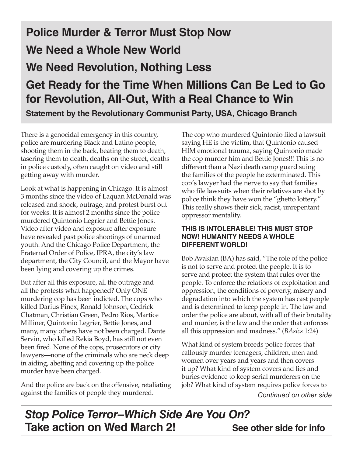## **Police Murder & Terror Must Stop Now We Need a Whole New World We Need Revolution, Nothing Less Get Ready for the Time When Millions Can Be Led to Go for Revolution, All-Out, With a Real Chance to Win**

**Statement by the Revolutionary Communist Party, USA, Chicago Branch**

There is a genocidal emergency in this country, police are murdering Black and Latino people, shooting them in the back, beating them to death, tasering them to death, deaths on the street, deaths in police custody, often caught on video and still getting away with murder.

Look at what is happening in Chicago. It is almost 3 months since the video of Laquan McDonald was released and shock, outrage, and protest burst out for weeks. It is almost 2 months since the police murdered Quintonio Legrier and Bettie Jones. Video after video and exposure after exposure have revealed past police shootings of unarmed youth. And the Chicago Police Department, the Fraternal Order of Police, IPRA, the city's law department, the City Council, and the Mayor have been lying and covering up the crimes.

But after all this exposure, all the outrage and all the protests what happened? Only ONE murdering cop has been indicted. The cops who killed Darius Pinex, Ronald Johnson, Cedrick Chatman, Christian Green, Pedro Rios, Martice Milliner, Quintonio Legrier, Bettie Jones, and many, many others have not been charged. Dante Servin, who killed Rekia Boyd, has still not even been fired. None of the cops, prosecutors or city lawyers—none of the criminals who are neck deep in aiding, abetting and covering up the police murder have been charged.

And the police are back on the offensive, retaliating against the families of people they murdered.

The cop who murdered Quintonio filed a lawsuit saying HE is the victim, that Quintonio caused HIM emotional trauma, saying Quintonio made the cop murder him and Bettie Jones!!! This is no different than a Nazi death camp guard suing the families of the people he exterminated. This cop's lawyer had the nerve to say that families who file lawsuits when their relatives are shot by police think they have won the "ghetto lottery." This really shows their sick, racist, unrepentant oppressor mentality.

#### **THIS IS INTOLERABLE! THIS MUST STOP NOW! HUMANITY NEEDS A WHOLE DIFFERENT WORLD!**

Bob Avakian (BA) has said, "The role of the police is not to serve and protect the people. It is to serve and protect the system that rules over the people. To enforce the relations of exploitation and oppression, the conditions of poverty, misery and degradation into which the system has cast people and is determined to keep people in. The law and order the police are about, with all of their brutality and murder, is the law and the order that enforces all this oppression and madness." (*BAsics* 1:24)

What kind of system breeds police forces that callously murder teenagers, children, men and women over years and years and then covers it up? What kind of system covers and lies and buries evidence to keep serial murderers on the job? What kind of system requires police forces to

*Continued on other side*

*Stop Police Terror–Which Side Are You On?* **Take action on Wed March 2!** See other side for info